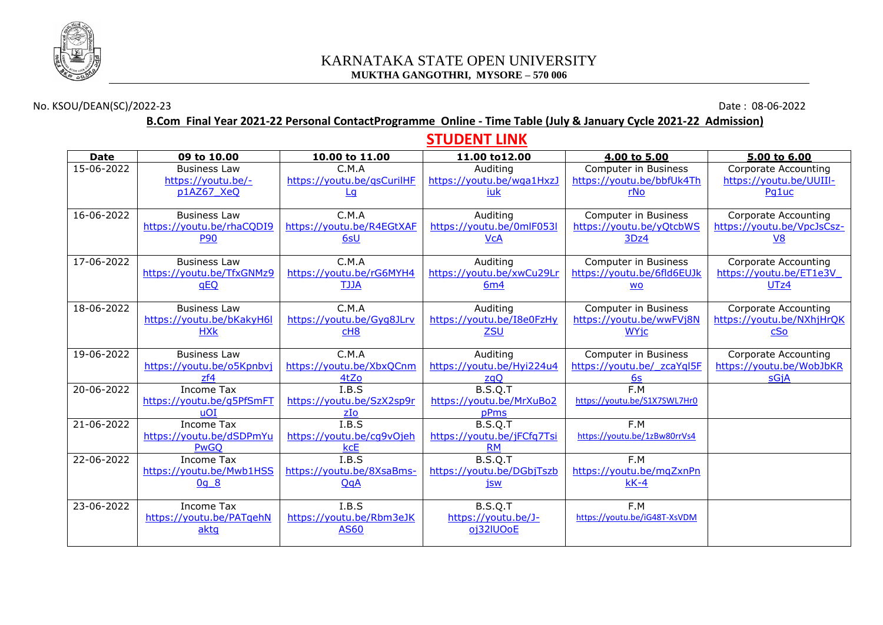

No. KSOU/DEAN(SC)/2022-23 Date : 08-06-2022

## **B.Com Final Year 2021-22 Personal ContactProgramme Online - Time Table (July & January Cycle 2021-22 Admission)**

|             |                                         |                            | <b>STUDENT LINK</b>        |                              |                             |
|-------------|-----------------------------------------|----------------------------|----------------------------|------------------------------|-----------------------------|
| <b>Date</b> | 09 to 10.00                             | 10.00 to 11.00             | 11.00 to12.00              | 4.00 to 5.00                 | 5.00 to 6.00                |
| 15-06-2022  | <b>Business Law</b>                     | C.M.A                      | Auditing                   | Computer in Business         | Corporate Accounting        |
|             | https://youtu.be/-                      | https://youtu.be/gsCurilHF | https://youtu.be/wga1HxzJ  | https://youtu.be/bbfUk4Th    | https://youtu.be/UUIII-     |
|             | p1AZ67 XeQ                              | <u>Lg</u>                  | iuk                        | rNo                          | Pa1uc                       |
| 16-06-2022  | <b>Business Law</b>                     | C.M.A                      | Auditing                   | Computer in Business         | Corporate Accounting        |
|             | https://youtu.be/rhaCODI9               | https://youtu.be/R4EGtXAF  | https://youtu.be/0mlF053l  | https://youtu.be/yQtcbWS     | https://youtu.be/VpcJsCsz-  |
|             | <b>P90</b>                              | 6sU                        | <b>VcA</b>                 | 3Dz4                         | V <sub>8</sub>              |
| 17-06-2022  | <b>Business Law</b>                     | C.M.A                      | Auditing                   | Computer in Business         | Corporate Accounting        |
|             | https://youtu.be/TfxGNMz9               | https://youtu.be/rG6MYH4   | https://youtu.be/xwCu29Lr  | https://youtu.be/6fld6EUJk   | https://youtu.be/ET1e3V     |
|             | <b>aEQ</b>                              | <b>ALLT</b>                | 6m4                        | <b>WO</b>                    | UTz4                        |
| 18-06-2022  | <b>Business Law</b>                     | C.M.A                      | Auditing                   | Computer in Business         | <b>Corporate Accounting</b> |
|             | https://youtu.be/bKakyH6l               | https://youtu.be/Gyg8JLrv  | https://youtu.be/I8e0FzHy  | https://youtu.be/wwFVj8N     | https://youtu.be/NXhjHrQK   |
|             | <b>HXk</b>                              | cH <sub>8</sub>            | <b>ZSU</b>                 | <b>WYjc</b>                  | cSo                         |
| 19-06-2022  | <b>Business Law</b>                     | C.M.A                      | Auditing                   | Computer in Business         | Corporate Accounting        |
|             | https://youtu.be/o5Kpnbvi               | https://youtu.be/XbxQCnm   | https://youtu.be/Hyi224u4  | https://youtu.be/ zcaYql5F   | https://youtu.be/WobJbKR    |
|             | zf4                                     | 4tZo                       | zgQ                        | 6s                           | sGjA                        |
| 20-06-2022  | Income Tax                              | I.B.S                      | B.S.Q.T                    | F.M                          |                             |
|             | https://youtu.be/g5PfSmFT               | https://youtu.be/SzX2sp9r  | https://youtu.be/MrXuBo2   | https://youtu.be/S1X7SWL7Hr0 |                             |
|             | uOI                                     | zIo                        | pPms                       |                              |                             |
| 21-06-2022  | Income Tax                              | I.B.S                      | B.S.Q.T                    | F.M                          |                             |
|             | https://youtu.be/dSDPmYu<br><b>PwGO</b> | https://youtu.be/cq9vOjeh  | https://youtu.be/jFCfq7Tsi | https://youtu.be/1zBw80rrVs4 |                             |
|             | Income Tax                              | kcE<br>I.B.S               | <b>RM</b><br>B.S.Q.T       | F.M                          |                             |
| 22-06-2022  | https://youtu.be/Mwb1HSS                | https://youtu.be/8XsaBms-  | https://youtu.be/DGbjTszb  | https://youtu.be/mqZxnPn     |                             |
|             | 0q8                                     | <b>OgA</b>                 | <b>jsw</b>                 | $kK-4$                       |                             |
|             |                                         |                            |                            |                              |                             |
| 23-06-2022  | Income Tax                              | I.B.S                      | B.S.Q.T                    | F.M                          |                             |
|             | https://youtu.be/PATgehN                | https://youtu.be/Rbm3eJK   | https://youtu.be/J-        | https://voutu.be/iG48T-XsVDM |                             |
|             | aktg                                    | <b>AS60</b>                | oj32IUOoE                  |                              |                             |
|             |                                         |                            |                            |                              |                             |